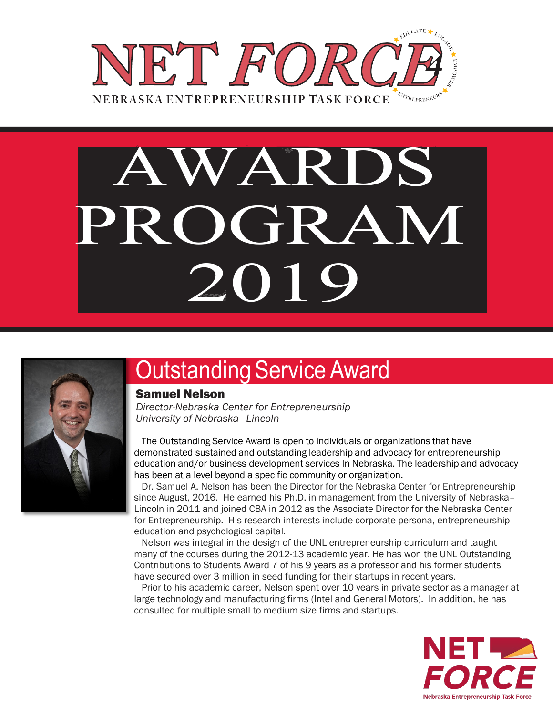

# PROGRAM AWARDS 2019



### **Outstanding Service Award**

#### Samuel Nelson

*Director-Nebraska Center for Entrepreneurship University of Nebraska—Lincoln* 

 The Outstanding Service Award is open to individuals or organizations that have demonstrated sustained and outstanding leadership and advocacy for entrepreneurship education and/or business development services In Nebraska. The leadership and advocacy has been at a level beyond a specific community or organization.

 Dr. Samuel A. Nelson has been the Director for the Nebraska Center for Entrepreneurship since August, 2016. He earned his Ph.D. in management from the University of Nebraska– Lincoln in 2011 and joined CBA in 2012 as the Associate Director for the Nebraska Center for Entrepreneurship. His research interests include corporate persona, entrepreneurship education and psychological capital.

 Nelson was integral in the design of the UNL entrepreneurship curriculum and taught many of the courses during the 2012-13 academic year. He has won the UNL Outstanding Contributions to Students Award 7 of his 9 years as a professor and his former students have secured over 3 million in seed funding for their startups in recent years.

 Prior to his academic career, Nelson spent over 10 years in private sector as a manager at large technology and manufacturing firms (Intel and General Motors). In addition, he has consulted for multiple small to medium size firms and startups.